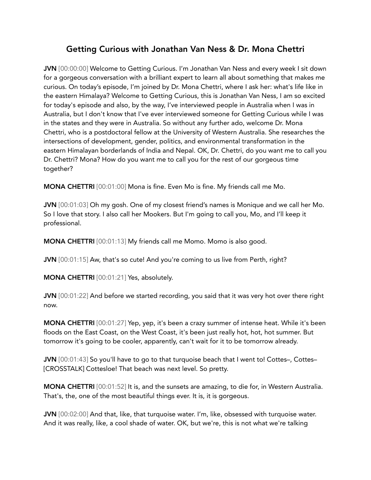## Getting Curious with Jonathan Van Ness & Dr. Mona Chettri

JVN [00:00:00] Welcome to Getting Curious. I'm Jonathan Van Ness and every week I sit down for a gorgeous conversation with a brilliant expert to learn all about something that makes me curious. On today's episode, I'm joined by Dr. Mona Chettri, where I ask her: what's life like in the eastern Himalaya? Welcome to Getting Curious, this is Jonathan Van Ness, I am so excited for today's episode and also, by the way, I've interviewed people in Australia when I was in Australia, but I don't know that I've ever interviewed someone for Getting Curious while I was in the states and they were in Australia. So without any further ado, welcome Dr. Mona Chettri, who is a postdoctoral fellow at the University of Western Australia. She researches the intersections of development, gender, politics, and environmental transformation in the eastern Himalayan borderlands of India and Nepal. OK, Dr. Chettri, do you want me to call you Dr. Chettri? Mona? How do you want me to call you for the rest of our gorgeous time together?

MONA CHETTRI [00:01:00] Mona is fine. Even Mo is fine. My friends call me Mo.

JVN [00:01:03] Oh my gosh. One of my closest friend's names is Monique and we call her Mo. So I love that story. I also call her Mookers. But I'm going to call you, Mo, and I'll keep it professional.

MONA CHETTRI [00:01:13] My friends call me Momo. Momo is also good.

JVN [00:01:15] Aw, that's so cute! And you're coming to us live from Perth, right?

MONA CHETTRI [00:01:21] Yes, absolutely.

JVN [00:01:22] And before we started recording, you said that it was very hot over there right now.

MONA CHETTRI [00:01:27] Yep, yep, it's been a crazy summer of intense heat. While it's been floods on the East Coast, on the West Coast, it's been just really hot, hot, hot summer. But tomorrow it's going to be cooler, apparently, can't wait for it to be tomorrow already.

JVN [00:01:43] So you'll have to go to that turquoise beach that I went to! Cottes-, Cottes-[CROSSTALK] Cottesloe! That beach was next level. So pretty.

MONA CHETTRI [00:01:52] It is, and the sunsets are amazing, to die for, in Western Australia. That's, the, one of the most beautiful things ever. It is, it is gorgeous.

JVN [00:02:00] And that, like, that turquoise water. I'm, like, obsessed with turquoise water. And it was really, like, a cool shade of water. OK, but we're, this is not what we're talking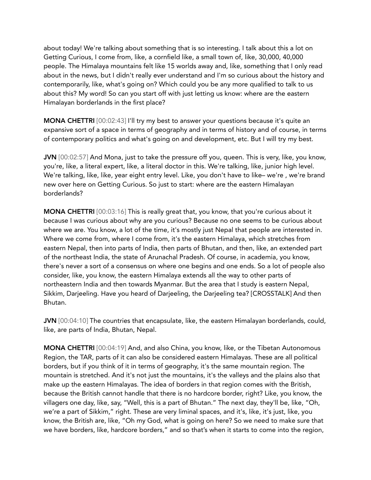about today! We're talking about something that is so interesting. I talk about this a lot on Getting Curious, I come from, like, a cornfield like, a small town of, like, 30,000, 40,000 people. The Himalaya mountains felt like 15 worlds away and, like, something that I only read about in the news, but I didn't really ever understand and I'm so curious about the history and contemporarily, like, what's going on? Which could you be any more qualified to talk to us about this? My word! So can you start off with just letting us know: where are the eastern Himalayan borderlands in the first place?

MONA CHETTRI [00:02:43] I'll try my best to answer your questions because it's quite an expansive sort of a space in terms of geography and in terms of history and of course, in terms of contemporary politics and what's going on and development, etc. But I will try my best.

JVN [00:02:57] And Mona, just to take the pressure off you, queen. This is very, like, you know, you're, like, a literal expert, like, a literal doctor in this. We're talking, like, junior high level. We're talking, like, like, year eight entry level. Like, you don't have to like– we're , we're brand new over here on Getting Curious. So just to start: where are the eastern Himalayan borderlands?

MONA CHETTRI [00:03:16] This is really great that, you know, that you're curious about it because I was curious about why are you curious? Because no one seems to be curious about where we are. You know, a lot of the time, it's mostly just Nepal that people are interested in. Where we come from, where I come from, it's the eastern Himalaya, which stretches from eastern Nepal, then into parts of India, then parts of Bhutan, and then, like, an extended part of the northeast India, the state of Arunachal Pradesh. Of course, in academia, you know, there's never a sort of a consensus on where one begins and one ends. So a lot of people also consider, like, you know, the eastern Himalaya extends all the way to other parts of northeastern India and then towards Myanmar. But the area that I study is eastern Nepal, Sikkim, Darjeeling. Have you heard of Darjeeling, the Darjeeling tea? [CROSSTALK] And then Bhutan.

JVN [00:04:10] The countries that encapsulate, like, the eastern Himalayan borderlands, could, like, are parts of India, Bhutan, Nepal.

MONA CHETTRI [00:04:19] And, and also China, you know, like, or the Tibetan Autonomous Region, the TAR, parts of it can also be considered eastern Himalayas. These are all political borders, but if you think of it in terms of geography, it's the same mountain region. The mountain is stretched. And it's not just the mountains, it's the valleys and the plains also that make up the eastern Himalayas. The idea of borders in that region comes with the British, because the British cannot handle that there is no hardcore border, right? Like, you know, the villagers one day, like, say, "Well, this is a part of Bhutan." The next day, they'll be, like, "Oh, we're a part of Sikkim," right. These are very liminal spaces, and it's, like, it's just, like, you know, the British are, like, "Oh my God, what is going on here? So we need to make sure that we have borders, like, hardcore borders," and so that's when it starts to come into the region,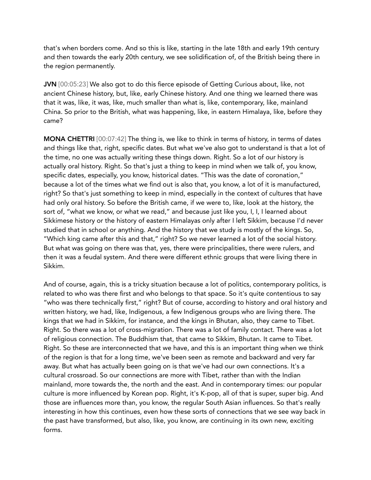that's when borders come. And so this is like, starting in the late 18th and early 19th century and then towards the early 20th century, we see solidification of, of the British being there in the region permanently.

JVN [00:05:23] We also got to do this fierce episode of Getting Curious about, like, not ancient Chinese history, but, like, early Chinese history. And one thing we learned there was that it was, like, it was, like, much smaller than what is, like, contemporary, like, mainland China. So prior to the British, what was happening, like, in eastern Himalaya, like, before they came?

MONA CHETTRI [00:07:42] The thing is, we like to think in terms of history, in terms of dates and things like that, right, specific dates. But what we've also got to understand is that a lot of the time, no one was actually writing these things down. Right. So a lot of our history is actually oral history. Right. So that's just a thing to keep in mind when we talk of, you know, specific dates, especially, you know, historical dates. "This was the date of coronation," because a lot of the times what we find out is also that, you know, a lot of it is manufactured, right? So that's just something to keep in mind, especially in the context of cultures that have had only oral history. So before the British came, if we were to, like, look at the history, the sort of, "what we know, or what we read," and because just like you, I, I, I learned about Sikkimese history or the history of eastern Himalayas only after I left Sikkim, because I'd never studied that in school or anything. And the history that we study is mostly of the kings. So, "Which king came after this and that," right? So we never learned a lot of the social history. But what was going on there was that, yes, there were principalities, there were rulers, and then it was a feudal system. And there were different ethnic groups that were living there in Sikkim.

And of course, again, this is a tricky situation because a lot of politics, contemporary politics, is related to who was there first and who belongs to that space. So it's quite contentious to say "who was there technically first," right? But of course, according to history and oral history and written history, we had, like, Indigenous, a few Indigenous groups who are living there. The kings that we had in Sikkim, for instance, and the kings in Bhutan, also, they came to Tibet. Right. So there was a lot of cross-migration. There was a lot of family contact. There was a lot of religious connection. The Buddhism that, that came to Sikkim, Bhutan. It came to Tibet. Right. So these are interconnected that we have, and this is an important thing when we think of the region is that for a long time, we've been seen as remote and backward and very far away. But what has actually been going on is that we've had our own connections. It's a cultural crossroad. So our connections are more with Tibet, rather than with the Indian mainland, more towards the, the north and the east. And in contemporary times: our popular culture is more influenced by Korean pop. Right, it's K-pop, all of that is super, super big. And those are influences more than, you know, the regular South Asian influences. So that's really interesting in how this continues, even how these sorts of connections that we see way back in the past have transformed, but also, like, you know, are continuing in its own new, exciting forms.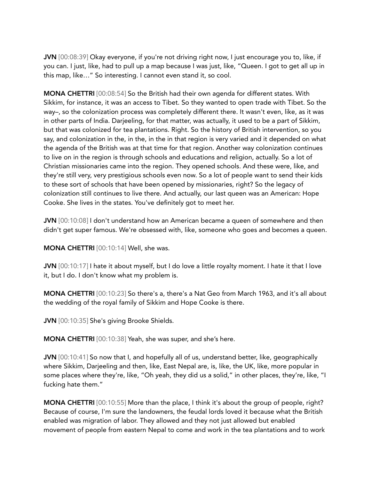JVN [00:08:39] Okay everyone, if you're not driving right now, I just encourage you to, like, if you can. I just, like, had to pull up a map because I was just, like, "Queen. I got to get all up in this map, like…" So interesting. I cannot even stand it, so cool.

MONA CHETTRI [00:08:54] So the British had their own agenda for different states. With Sikkim, for instance, it was an access to Tibet. So they wanted to open trade with Tibet. So the way–, so the colonization process was completely different there. It wasn't even, like, as it was in other parts of India. Darjeeling, for that matter, was actually, it used to be a part of Sikkim, but that was colonized for tea plantations. Right. So the history of British intervention, so you say, and colonization in the, in the, in the in that region is very varied and it depended on what the agenda of the British was at that time for that region. Another way colonization continues to live on in the region is through schools and educations and religion, actually. So a lot of Christian missionaries came into the region. They opened schools. And these were, like, and they're still very, very prestigious schools even now. So a lot of people want to send their kids to these sort of schools that have been opened by missionaries, right? So the legacy of colonization still continues to live there. And actually, our last queen was an American: Hope Cooke. She lives in the states. You've definitely got to meet her.

JVN  $[00:10:08]$  I don't understand how an American became a queen of somewhere and then didn't get super famous. We're obsessed with, like, someone who goes and becomes a queen.

MONA CHETTRI [00:10:14] Well, she was.

JVN [00:10:17] I hate it about myself, but I do love a little royalty moment. I hate it that I love it, but I do. I don't know what my problem is.

MONA CHETTRI [00:10:23] So there's a, there's a Nat Geo from March 1963, and it's all about the wedding of the royal family of Sikkim and Hope Cooke is there.

JVN [00:10:35] She's giving Brooke Shields.

MONA CHETTRI [00:10:38] Yeah, she was super, and she's here.

JVN [00:10:41] So now that I, and hopefully all of us, understand better, like, geographically where Sikkim, Darjeeling and then, like, East Nepal are, is, like, the UK, like, more popular in some places where they're, like, "Oh yeah, they did us a solid," in other places, they're, like, "I fucking hate them."

MONA CHETTRI [00:10:55] More than the place, I think it's about the group of people, right? Because of course, I'm sure the landowners, the feudal lords loved it because what the British enabled was migration of labor. They allowed and they not just allowed but enabled movement of people from eastern Nepal to come and work in the tea plantations and to work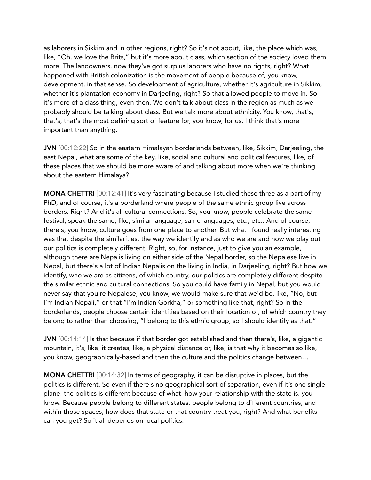as laborers in Sikkim and in other regions, right? So it's not about, like, the place which was, like, "Oh, we love the Brits," but it's more about class, which section of the society loved them more. The landowners, now they've got surplus laborers who have no rights, right? What happened with British colonization is the movement of people because of, you know, development, in that sense. So development of agriculture, whether it's agriculture in Sikkim, whether it's plantation economy in Darjeeling, right? So that allowed people to move in. So it's more of a class thing, even then. We don't talk about class in the region as much as we probably should be talking about class. But we talk more about ethnicity. You know, that's, that's, that's the most defining sort of feature for, you know, for us. I think that's more important than anything.

JVN [00:12:22] So in the eastern Himalayan borderlands between, like, Sikkim, Darjeeling, the east Nepal, what are some of the key, like, social and cultural and political features, like, of these places that we should be more aware of and talking about more when we're thinking about the eastern Himalaya?

MONA CHETTRI [00:12:41] It's very fascinating because I studied these three as a part of my PhD, and of course, it's a borderland where people of the same ethnic group live across borders. Right? And it's all cultural connections. So, you know, people celebrate the same festival, speak the same, like, similar language, same languages, etc., etc.. And of course, there's, you know, culture goes from one place to another. But what I found really interesting was that despite the similarities, the way we identify and as who we are and how we play out our politics is completely different. Right, so, for instance, just to give you an example, although there are Nepalis living on either side of the Nepal border, so the Nepalese live in Nepal, but there's a lot of Indian Nepalis on the living in India, in Darjeeling, right? But how we identify, who we are as citizens, of which country, our politics are completely different despite the similar ethnic and cultural connections. So you could have family in Nepal, but you would never say that you're Nepalese, you know, we would make sure that we'd be, like, "No, but I'm Indian Nepali," or that "I'm Indian Gorkha," or something like that, right? So in the borderlands, people choose certain identities based on their location of, of which country they belong to rather than choosing, "I belong to this ethnic group, so I should identify as that."

JVN [00:14:14] Is that because if that border got established and then there's, like, a gigantic mountain, it's, like, it creates, like, a physical distance or, like, is that why it becomes so like, you know, geographically-based and then the culture and the politics change between…

MONA CHETTRI [00:14:32] In terms of geography, it can be disruptive in places, but the politics is different. So even if there's no geographical sort of separation, even if it's one single plane, the politics is different because of what, how your relationship with the state is, you know. Because people belong to different states, people belong to different countries, and within those spaces, how does that state or that country treat you, right? And what benefits can you get? So it all depends on local politics.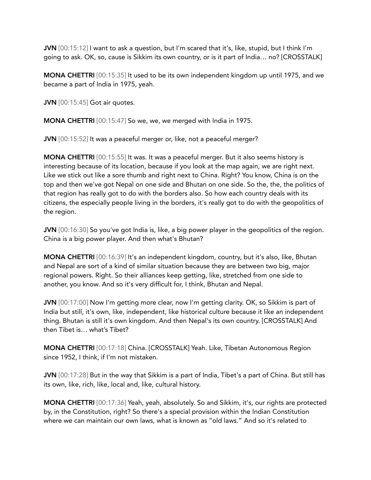JVN [00:15:12] I want to ask a question, but I'm scared that it's, like, stupid, but I think I'm going to ask. OK, so, cause is Sikkim its own country, or is it part of India… no? [CROSSTALK]

MONA CHETTRI [00:15:35] It used to be its own independent kingdom up until 1975, and we became a part of India in 1975, yeah.

**JVN** [00:15:45] Got air quotes.

MONA CHETTRI [00:15:47] So we, we, we merged with India in 1975.

JVN [00:15:52] It was a peaceful merger or, like, not a peaceful merger?

MONA CHETTRI [00:15:55] It was. It was a peaceful merger. But it also seems history is interesting because of its location, because if you look at the map again, we are right next. Like we stick out like a sore thumb and right next to China. Right? You know, China is on the top and then we've got Nepal on one side and Bhutan on one side. So the, the, the politics of that region has really got to do with the borders also. So how each country deals with its citizens, the especially people living in the borders, it's really got to do with the geopolitics of the region.

JVN [00:16:30] So you've got India is, like, a big power player in the geopolitics of the region. China is a big power player. And then what's Bhutan?

MONA CHETTRI [00:16:39] It's an independent kingdom, country, but it's also, like, Bhutan and Nepal are sort of a kind of similar situation because they are between two big, major regional powers. Right. So their alliances keep getting, like, stretched from one side to another, you know. And so it's very difficult for, I think, Bhutan and Nepal.

JVN [00:17:00] Now I'm getting more clear, now I'm getting clarity. OK, so Sikkim is part of India but still, it's own, like, independent, like historical culture because it like an independent thing. Bhutan is still it's own kingdom. And then Nepal's its own country. [CROSSTALK] And then Tibet is… what's Tibet?

MONA CHETTRI [00:17:18] China. [CROSSTALK] Yeah. Like, Tibetan Autonomous Region since 1952, I think, if I'm not mistaken.

JVN [00:17:28] But in the way that Sikkim is a part of India, Tibet's a part of China. But still has its own, like, rich, like, local and, like, cultural history.

MONA CHETTRI [00:17:36] Yeah, yeah, absolutely. So and Sikkim, it's, our rights are protected by, in the Constitution, right? So there's a special provision within the Indian Constitution where we can maintain our own laws, what is known as "old laws." And so it's related to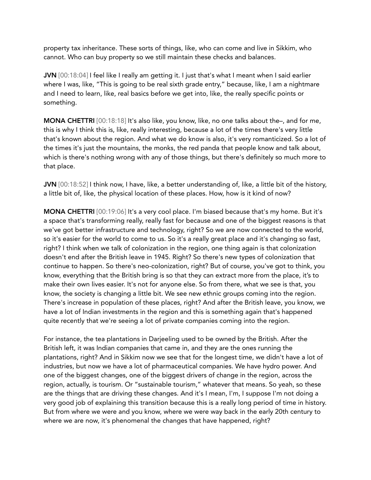property tax inheritance. These sorts of things, like, who can come and live in Sikkim, who cannot. Who can buy property so we still maintain these checks and balances.

JVN [00:18:04] I feel like I really am getting it. I just that's what I meant when I said earlier where I was, like, "This is going to be real sixth grade entry," because, like, I am a nightmare and I need to learn, like, real basics before we get into, like, the really specific points or something.

MONA CHETTRI [00:18:18] It's also like, you know, like, no one talks about the–, and for me, this is why I think this is, like, really interesting, because a lot of the times there's very little that's known about the region. And what we do know is also, it's very romanticized. So a lot of the times it's just the mountains, the monks, the red panda that people know and talk about, which is there's nothing wrong with any of those things, but there's definitely so much more to that place.

JVN [00:18:52] I think now, I have, like, a better understanding of, like, a little bit of the history, a little bit of, like, the physical location of these places. How, how is it kind of now?

MONA CHETTRI [00:19:06] It's a very cool place. I'm biased because that's my home. But it's a space that's transforming really, really fast for because and one of the biggest reasons is that we've got better infrastructure and technology, right? So we are now connected to the world, so it's easier for the world to come to us. So it's a really great place and it's changing so fast, right? I think when we talk of colonization in the region, one thing again is that colonization doesn't end after the British leave in 1945. Right? So there's new types of colonization that continue to happen. So there's neo-colonization, right? But of course, you've got to think, you know, everything that the British bring is so that they can extract more from the place, it's to make their own lives easier. It's not for anyone else. So from there, what we see is that, you know, the society is changing a little bit. We see new ethnic groups coming into the region. There's increase in population of these places, right? And after the British leave, you know, we have a lot of Indian investments in the region and this is something again that's happened quite recently that we're seeing a lot of private companies coming into the region.

For instance, the tea plantations in Darjeeling used to be owned by the British. After the British left, it was Indian companies that came in, and they are the ones running the plantations, right? And in Sikkim now we see that for the longest time, we didn't have a lot of industries, but now we have a lot of pharmaceutical companies. We have hydro power. And one of the biggest changes, one of the biggest drivers of change in the region, across the region, actually, is tourism. Or "sustainable tourism," whatever that means. So yeah, so these are the things that are driving these changes. And it's I mean, I'm, I suppose I'm not doing a very good job of explaining this transition because this is a really long period of time in history. But from where we were and you know, where we were way back in the early 20th century to where we are now, it's phenomenal the changes that have happened, right?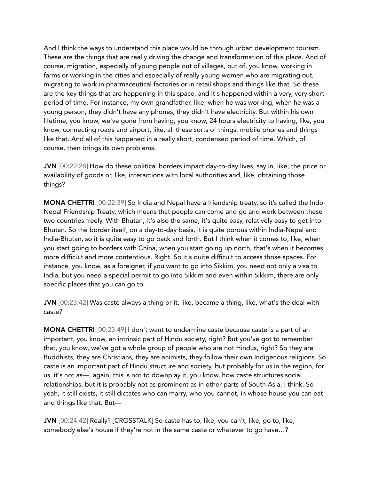And I think the ways to understand this place would be through urban development tourism. These are the things that are really driving the change and transformation of this place. And of course, migration, especially of young people out of villages, out of, you know, working in farms or working in the cities and especially of really young women who are migrating out, migrating to work in pharmaceutical factories or in retail shops and things like that. So these are the key things that are happening in this space, and it's happened within a very, very short period of time. For instance, my own grandfather, like, when he was working, when he was a young person, they didn't have any phones, they didn't have electricity. But within his own lifetime, you know, we've gone from having, you know, 24 hours electricity to having, like, you know, connecting roads and airport, like, all these sorts of things, mobile phones and things like that. And all of this happened in a really short, condensed period of time. Which, of course, then brings its own problems.

JVN [00:22:28] How do these political borders impact day-to-day lives, say in, like, the price or availability of goods or, like, interactions with local authorities and, like, obtaining those things?

MONA CHETTRI [00:22:39] So India and Nepal have a friendship treaty, so it's called the Indo-Nepal Friendship Treaty, which means that people can come and go and work between these two countries freely. With Bhutan, it's also the same, it's quite easy, relatively easy to get into Bhutan. So the border itself, on a day-to-day basis, it is quite porous within India-Nepal and India-Bhutan, so it is quite easy to go back and forth. But I think when it comes to, like, when you start going to borders with China, when you start going up north, that's when it becomes more difficult and more contentious. Right. So it's quite difficult to access those spaces. For instance, you know, as a foreigner, if you want to go into Sikkim, you need not only a visa to India, but you need a special permit to go into Sikkim and even within Sikkim, there are only specific places that you can go to.

JVN [00:23:42] Was caste always a thing or it, like, became a thing, like, what's the deal with caste?

MONA CHETTRI [00:23:49] I don't want to undermine caste because caste is a part of an important, you know, an intrinsic part of Hindu society, right? But you've got to remember that, you know, we've got a whole group of people who are not Hindus, right? So they are Buddhists, they are Christians, they are animists, they follow their own Indigenous religions. So caste is an important part of Hindu structure and society, but probably for us in the region, for us, it's not as—, again, this is not to downplay it, you know, how caste structures social relationships, but it is probably not as prominent as in other parts of South Asia, I think. So yeah, it still exists, it still dictates who can marry, who you cannot, in whose house you can eat and things like that. But—

JVN [00:24:42] Really? [CROSSTALK] So caste has to, like, you can't, like, go to, like, somebody else's house if they're not in the same caste or whatever to go have…?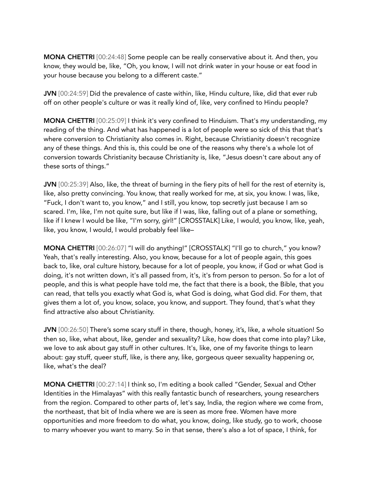MONA CHETTRI [00:24:48] Some people can be really conservative about it. And then, you know, they would be, like, "Oh, you know, I will not drink water in your house or eat food in your house because you belong to a different caste."

JVN [00:24:59] Did the prevalence of caste within, like, Hindu culture, like, did that ever rub off on other people's culture or was it really kind of, like, very confined to Hindu people?

MONA CHETTRI [00:25:09] I think it's very confined to Hinduism. That's my understanding, my reading of the thing. And what has happened is a lot of people were so sick of this that that's where conversion to Christianity also comes in. Right, because Christianity doesn't recognize any of these things. And this is, this could be one of the reasons why there's a whole lot of conversion towards Christianity because Christianity is, like, "Jesus doesn't care about any of these sorts of things."

JVN [00:25:39] Also, like, the threat of burning in the fiery pits of hell for the rest of eternity is, like, also pretty convincing. You know, that really worked for me, at six, you know. I was, like, "Fuck, I don't want to, you know," and I still, you know, top secretly just because I am so scared. I'm, like, I'm not quite sure, but like if I was, like, falling out of a plane or something, like if I knew I would be like, "I'm sorry, girl!" [CROSSTALK] Like, I would, you know, like, yeah, like, you know, I would, I would probably feel like–

MONA CHETTRI [00:26:07] "I will do anything!" [CROSSTALK] "I'll go to church," you know? Yeah, that's really interesting. Also, you know, because for a lot of people again, this goes back to, like, oral culture history, because for a lot of people, you know, if God or what God is doing, it's not written down, it's all passed from, it's, it's from person to person. So for a lot of people, and this is what people have told me, the fact that there is a book, the Bible, that you can read, that tells you exactly what God is, what God is doing, what God did. For them, that gives them a lot of, you know, solace, you know, and support. They found, that's what they find attractive also about Christianity.

JVN [00:26:50] There's some scary stuff in there, though, honey, it's, like, a whole situation! So then so, like, what about, like, gender and sexuality? Like, how does that come into play? Like, we love to ask about gay stuff in other cultures. It's, like, one of my favorite things to learn about: gay stuff, queer stuff, like, is there any, like, gorgeous queer sexuality happening or, like, what's the deal?

MONA CHETTRI [00:27:14] I think so, I'm editing a book called "Gender, Sexual and Other Identities in the Himalayas" with this really fantastic bunch of researchers, young researchers from the region. Compared to other parts of, let's say, India, the region where we come from, the northeast, that bit of India where we are is seen as more free. Women have more opportunities and more freedom to do what, you know, doing, like study, go to work, choose to marry whoever you want to marry. So in that sense, there's also a lot of space, I think, for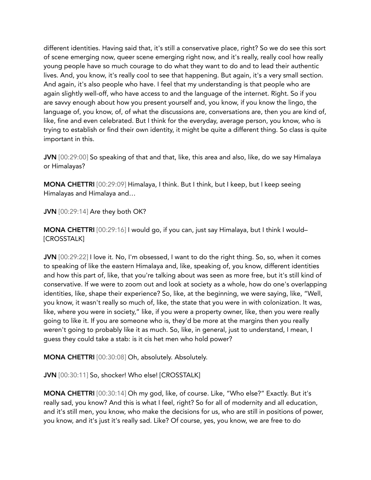different identities. Having said that, it's still a conservative place, right? So we do see this sort of scene emerging now, queer scene emerging right now, and it's really, really cool how really young people have so much courage to do what they want to do and to lead their authentic lives. And, you know, it's really cool to see that happening. But again, it's a very small section. And again, it's also people who have. I feel that my understanding is that people who are again slightly well-off, who have access to and the language of the internet. Right. So if you are savvy enough about how you present yourself and, you know, if you know the lingo, the language of, you know, of, of what the discussions are, conversations are, then you are kind of, like, fine and even celebrated. But I think for the everyday, average person, you know, who is trying to establish or find their own identity, it might be quite a different thing. So class is quite important in this.

JVN [00:29:00] So speaking of that and that, like, this area and also, like, do we say Himalaya or Himalayas?

MONA CHETTRI [00:29:09] Himalaya, I think. But I think, but I keep, but I keep seeing Himalayas and Himalaya and…

JVN [00:29:14] Are they both OK?

MONA CHETTRI [00:29:16] I would go, if you can, just say Himalaya, but I think I would– [CROSSTALK]

JVN  $[00:29:22]$  I love it. No, I'm obsessed, I want to do the right thing. So, so, when it comes to speaking of like the eastern Himalaya and, like, speaking of, you know, different identities and how this part of, like, that you're talking about was seen as more free, but it's still kind of conservative. If we were to zoom out and look at society as a whole, how do one's overlapping identities, like, shape their experience? So, like, at the beginning, we were saying, like, "Well, you know, it wasn't really so much of, like, the state that you were in with colonization. It was, like, where you were in society," like, if you were a property owner, like, then you were really going to like it. If you are someone who is, they'd be more at the margins then you really weren't going to probably like it as much. So, like, in general, just to understand, I mean, I guess they could take a stab: is it cis het men who hold power?

MONA CHETTRI [00:30:08] Oh, absolutely. Absolutely.

JVN [00:30:11] So, shocker! Who else! [CROSSTALK]

MONA CHETTRI [00:30:14] Oh my god, like, of course. Like, "Who else?" Exactly. But it's really sad, you know? And this is what I feel, right? So for all of modernity and all education, and it's still men, you know, who make the decisions for us, who are still in positions of power, you know, and it's just it's really sad. Like? Of course, yes, you know, we are free to do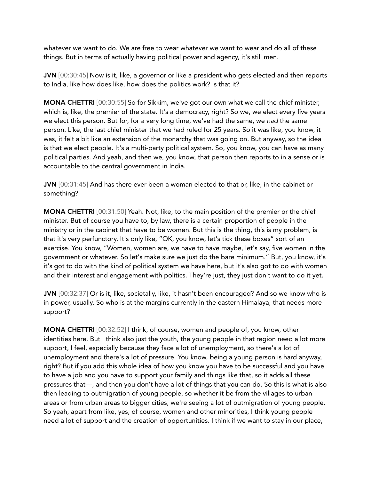whatever we want to do. We are free to wear whatever we want to wear and do all of these things. But in terms of actually having political power and agency, it's still men.

JVN [00:30:45] Now is it, like, a governor or like a president who gets elected and then reports to India, like how does like, how does the politics work? Is that it?

MONA CHETTRI [00:30:55] So for Sikkim, we've got our own what we call the chief minister, which is, like, the premier of the state. It's a democracy, right? So we, we elect every five years we elect this person. But for, for a very long time, we've had the same, we *had* the same person. Like, the last chief minister that we had ruled for 25 years. So it was like, you know, it was, it felt a bit like an extension of the monarchy that was going on. But anyway, so the idea is that we elect people. It's a multi-party political system. So, you know, you can have as many political parties. And yeah, and then we, you know, that person then reports to in a sense or is accountable to the central government in India.

JVN [00:31:45] And has there ever been a woman elected to that or, like, in the cabinet or something?

MONA CHETTRI [00:31:50] Yeah. Not, like, to the main position of the premier or the chief minister. But of course you have to, by law, there is a certain proportion of people in the ministry or in the cabinet that have to be women. But this is the thing, this is my problem, is that it's very perfunctory. It's only like, "OK, you know, let's tick these boxes" sort of an exercise. You know, "Women, women are, we have to have maybe, let's say, five women in the government or whatever. So let's make sure we just do the bare minimum." But, you know, it's it's got to do with the kind of political system we have here, but it's also got to do with women and their interest and engagement with politics. They're just, they just don't want to do it yet.

JVN [00:32:37] Or is it, like, societally, like, it hasn't been encouraged? And so we know who is in power, usually. So who is at the margins currently in the eastern Himalaya, that needs more support?

MONA CHETTRI [00:32:52] I think, of course, women and people of, you know, other identities here. But I think also just the youth, the young people in that region need a lot more support, I feel, especially because they face a lot of unemployment, so there's a lot of unemployment and there's a lot of pressure. You know, being a young person is hard anyway, right? But if you add this whole idea of how you know you have to be successful and you have to have a job and you have to support your family and things like that, so it adds all these pressures that—, and then you don't have a lot of things that you can do. So this is what is also then leading to outmigration of young people, so whether it be from the villages to urban areas or from urban areas to bigger cities, we're seeing a lot of outmigration of young people. So yeah, apart from like, yes, of course, women and other minorities, I think young people need a lot of support and the creation of opportunities. I think if we want to stay in our place,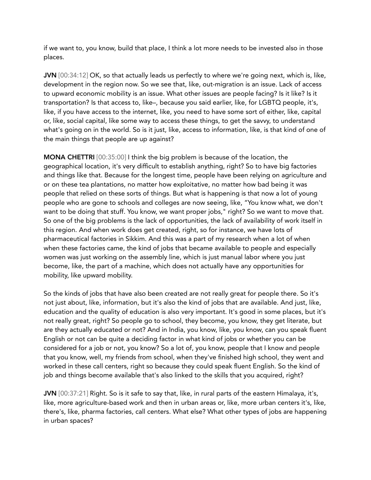if we want to, you know, build that place, I think a lot more needs to be invested also in those places.

JVN [00:34:12] OK, so that actually leads us perfectly to where we're going next, which is, like, development in the region now. So we see that, like, out-migration is an issue. Lack of access to upward economic mobility is an issue. What other issues are people facing? Is it like? Is it transportation? Is that access to, like–, because you said earlier, like, for LGBTQ people, it's, like, if you have access to the internet, like, you need to have some sort of either, like, capital or, like, social capital, like some way to access these things, to get the savvy, to understand what's going on in the world. So is it just, like, access to information, like, is that kind of one of the main things that people are up against?

MONA CHETTRI [00:35:00] I think the big problem is because of the location, the geographical location, it's very difficult to establish anything, right? So to have big factories and things like that. Because for the longest time, people have been relying on agriculture and or on these tea plantations, no matter how exploitative, no matter how bad being it was people that relied on these sorts of things. But what is happening is that now a lot of young people who are gone to schools and colleges are now seeing, like, "You know what, we don't want to be doing that stuff. You know, we want proper jobs," right? So we want to move that. So one of the big problems is the lack of opportunities, the lack of availability of work itself in this region. And when work does get created, right, so for instance, we have lots of pharmaceutical factories in Sikkim. And this was a part of my research when a lot of when when these factories came, the kind of jobs that became available to people and especially women was just working on the assembly line, which is just manual labor where you just become, like, the part of a machine, which does not actually have any opportunities for mobility, like upward mobility.

So the kinds of jobs that have also been created are not really great for people there. So it's not just about, like, information, but it's also the kind of jobs that are available. And just, like, education and the quality of education is also very important. It's good in some places, but it's not really great, right? So people go to school, they become, you know, they get literate, but are they actually educated or not? And in India, you know, like, you know, can you speak fluent English or not can be quite a deciding factor in what kind of jobs or whether you can be considered for a job or not, you know? So a lot of, you know, people that I know and people that you know, well, my friends from school, when they've finished high school, they went and worked in these call centers, right so because they could speak fluent English. So the kind of job and things become available that's also linked to the skills that you acquired, right?

JVN [00:37:21] Right. So is it safe to say that, like, in rural parts of the eastern Himalaya, it's, like, more agriculture-based work and then in urban areas or, like, more urban centers it's, like, there's, like, pharma factories, call centers. What else? What other types of jobs are happening in urban spaces?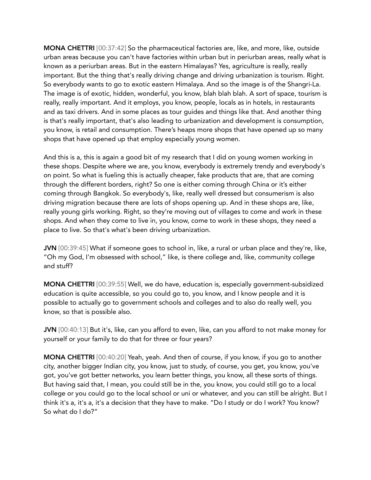MONA CHETTRI [00:37:42] So the pharmaceutical factories are, like, and more, like, outside urban areas because you can't have factories within urban but in periurban areas, really what is known as a periurban areas. But in the eastern Himalayas? Yes, agriculture is really, really important. But the thing that's really driving change and driving urbanization is tourism. Right. So everybody wants to go to exotic eastern Himalaya. And so the image is of the Shangri-La. The image is of exotic, hidden, wonderful, you know, blah blah blah. A sort of space, tourism is really, really important. And it employs, you know, people, locals as in hotels, in restaurants and as taxi drivers. And in some places as tour guides and things like that. And another thing is that's really important, that's also leading to urbanization and development is consumption, you know, is retail and consumption. There's heaps more shops that have opened up so many shops that have opened up that employ especially young women.

And this is a, this is again a good bit of my research that I did on young women working in these shops. Despite where we are, you know, everybody is extremely trendy and everybody's on point. So what is fueling this is actually cheaper, fake products that are, that are coming through the different borders, right? So one is either coming through China or it's either coming through Bangkok. So everybody's, like, really well dressed but consumerism is also driving migration because there are lots of shops opening up. And in these shops are, like, really young girls working. Right, so they're moving out of villages to come and work in these shops. And when they come to live in, you know, come to work in these shops, they need a place to live. So that's what's been driving urbanization.

JVN [00:39:45] What if someone goes to school in, like, a rural or urban place and they're, like, "Oh my God, I'm obsessed with school," like, is there college and, like, community college and stuff?

MONA CHETTRI [00:39:55] Well, we do have, education is, especially government-subsidized education is quite accessible, so you could go to, you know, and I know people and it is possible to actually go to government schools and colleges and to also do really well, you know, so that is possible also.

JVN [00:40:13] But it's, like, can you afford to even, like, can you afford to not make money for yourself or your family to do that for three or four years?

MONA CHETTRI [00:40:20] Yeah, yeah. And then of course, if you know, if you go to another city, another bigger Indian city, you know, just to study, of course, you get, you know, you've got, you've got better networks, you learn better things, you know, all these sorts of things. But having said that, I mean, you could still be in the, you know, you could still go to a local college or you could go to the local school or uni or whatever, and you can still be alright. But I think it's a, it's a, it's a decision that they have to make. "Do I study or do I work? You know? So what do I do?"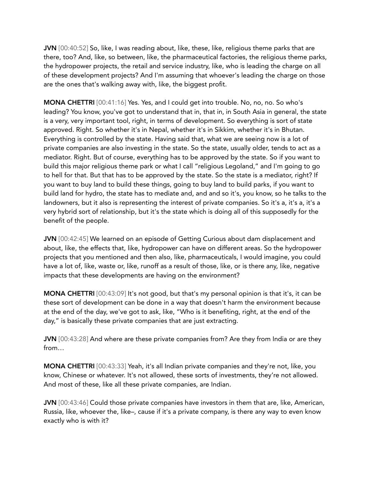JVN [00:40:52] So, like, I was reading about, like, these, like, religious theme parks that are there, too? And, like, so between, like, the pharmaceutical factories, the religious theme parks, the hydropower projects, the retail and service industry, like, who is leading the charge on all of these development projects? And I'm assuming that whoever's leading the charge on those are the ones that's walking away with, like, the biggest profit.

MONA CHETTRI [00:41:16] Yes. Yes, and I could get into trouble. No, no, no. So who's leading? You know, you've got to understand that in, that in, in South Asia in general, the state is a very, very important tool, right, in terms of development. So everything is sort of state approved. Right. So whether it's in Nepal, whether it's in Sikkim, whether it's in Bhutan. Everything is controlled by the state. Having said that, what we are seeing now is a lot of private companies are also investing in the state. So the state, usually older, tends to act as a mediator. Right. But of course, everything has to be approved by the state. So if you want to build this major religious theme park or what I call "religious Legoland," and I'm going to go to hell for that. But that has to be approved by the state. So the state is a mediator, right? If you want to buy land to build these things, going to buy land to build parks, if you want to build land for hydro, the state has to mediate and, and and so it's, you know, so he talks to the landowners, but it also is representing the interest of private companies. So it's a, it's a, it's a very hybrid sort of relationship, but it's the state which is doing all of this supposedly for the benefit of the people.

JVN [00:42:45] We learned on an episode of Getting Curious about dam displacement and about, like, the effects that, like, hydropower can have on different areas. So the hydropower projects that you mentioned and then also, like, pharmaceuticals, I would imagine, you could have a lot of, like, waste or, like, runoff as a result of those, like, or is there any, like, negative impacts that these developments are having on the environment?

MONA CHETTRI [00:43:09] It's not good, but that's my personal opinion is that it's, it can be these sort of development can be done in a way that doesn't harm the environment because at the end of the day, we've got to ask, like, "Who is it benefiting, right, at the end of the day," is basically these private companies that are just extracting.

JVN [00:43:28] And where are these private companies from? Are they from India or are they from…

MONA CHETTRI [00:43:33] Yeah, it's all Indian private companies and they're not, like, you know, Chinese or whatever. It's not allowed, these sorts of investments, they're not allowed. And most of these, like all these private companies, are Indian.

JVN [00:43:46] Could those private companies have investors in them that are, like, American, Russia, like, whoever the, like–, cause if it's a private company, is there any way to even know exactly who is with it?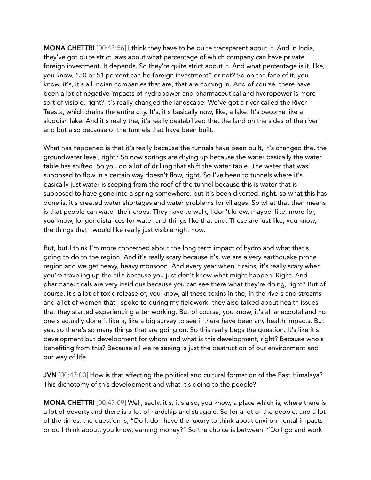MONA CHETTRI [00:43:56] I think they have to be quite transparent about it. And in India, they've got quite strict laws about what percentage of which company can have private foreign investment. It depends. So they're quite strict about it. And what percentage is it, like, you know, "50 or 51 percent can be foreign investment" or not? So on the face of it, you know, it's, it's all Indian companies that are, that are coming in. And of course, there have been a lot of negative impacts of hydropower and pharmaceutical and hydropower is more sort of visible, right? It's really changed the landscape. We've got a river called the River Teesta, which drains the entire city. It's, it's basically now, like, a lake. It's become like a sluggish lake. And it's really the, it's really destabilized the, the land on the sides of the river and but also because of the tunnels that have been built.

What has happened is that it's really because the tunnels have been built, it's changed the, the groundwater level, right? So now springs are drying up because the water basically the water table has shifted. So you do a lot of drilling that shift the water table. The water that was supposed to flow in a certain way doesn't flow, right. So I've been to tunnels where it's basically just water is seeping from the roof of the tunnel because this is water that is supposed to have gone into a spring somewhere, but it's been diverted, right, so what this has done is, it's created water shortages and water problems for villages. So what that then means is that people can water their crops. They have to walk, I don't know, maybe, like, more for, you know, longer distances for water and things like that and. These are just like, you know, the things that I would like really just visible right now.

But, but I think I'm more concerned about the long term impact of hydro and what that's going to do to the region. And it's really scary because it's, we are a very earthquake prone region and we get heavy, heavy monsoon. And every year when it rains, it's really scary when you're traveling up the hills because you just don't know what might happen. Right. And pharmaceuticals are very insidious because you can see there what they're doing, right? But of course, it's a lot of toxic release of, you know, all these toxins in the, in the rivers and streams and a lot of women that I spoke to during my fieldwork, they also talked about health issues that they started experiencing after working. But of course, you know, it's all anecdotal and no one's actually done it like a, like a big survey to see if there have been any health impacts. But yes, so there's so many things that are going on. So this really begs the question. It's like it's development but development for whom and what is this development, right? Because who's benefiting from this? Because all we're seeing is just the destruction of our environment and our way of life.

JVN [00:47:00] How is that affecting the political and cultural formation of the East Himalaya? This dichotomy of this development and what it's doing to the people?

MONA CHETTRI [00:47:09] Well, sadly, it's, it's also, you know, a place which is, where there is a lot of poverty and there is a lot of hardship and struggle. So for a lot of the people, and a lot of the times, the question is, "Do I, do I have the luxury to think about environmental impacts or do I think about, you know, earning money?" So the choice is between, "Do I go and work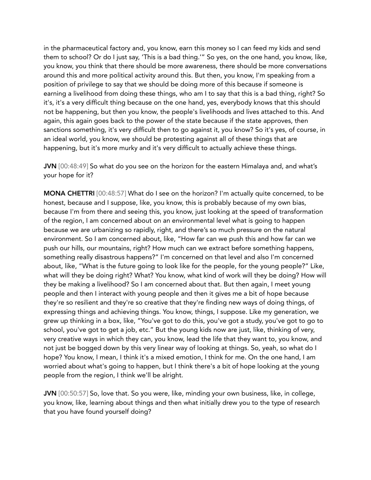in the pharmaceutical factory and, you know, earn this money so I can feed my kids and send them to school? Or do I just say, 'This is a bad thing.'" So yes, on the one hand, you know, like, you know, you think that there should be more awareness, there should be more conversations around this and more political activity around this. But then, you know, I'm speaking from a position of privilege to say that we should be doing more of this because if someone is earning a livelihood from doing these things, who am I to say that this is a bad thing, right? So it's, it's a very difficult thing because on the one hand, yes, everybody knows that this should not be happening, but then you know, the people's livelihoods and lives attached to this. And again, this again goes back to the power of the state because if the state approves, then sanctions something, it's very difficult then to go against it, you know? So it's yes, of course, in an ideal world, you know, we should be protesting against all of these things that are happening, but it's more murky and it's very difficult to actually achieve these things.

JVN [00:48:49] So what do you see on the horizon for the eastern Himalaya and, and what's your hope for it?

MONA CHETTRI [00:48:57] What do I see on the horizon? I'm actually quite concerned, to be honest, because and I suppose, like, you know, this is probably because of my own bias, because I'm from there and seeing this, you know, just looking at the speed of transformation of the region, I am concerned about on an environmental level what is going to happen because we are urbanizing so rapidly, right, and there's so much pressure on the natural environment. So I am concerned about, like, "How far can we push this and how far can we push our hills, our mountains, right? How much can we extract before something happens, something really disastrous happens?" I'm concerned on that level and also I'm concerned about, like, "What is the future going to look like for the people, for the young people?" Like, what will they be doing right? What? You know, what kind of work will they be doing? How will they be making a livelihood? So I am concerned about that. But then again, I meet young people and then I interact with young people and then it gives me a bit of hope because they're so resilient and they're so creative that they're finding new ways of doing things, of expressing things and achieving things. You know, things, I suppose. Like my generation, we grew up thinking in a box, like, "You've got to do this, you've got a study, you've got to go to school, you've got to get a job, etc." But the young kids now are just, like, thinking of very, very creative ways in which they can, you know, lead the life that they want to, you know, and not just be bogged down by this very linear way of looking at things. So, yeah, so what do I hope? You know, I mean, I think it's a mixed emotion, I think for me. On the one hand, I am worried about what's going to happen, but I think there's a bit of hope looking at the young people from the region, I think we'll be alright.

JVN [00:50:57] So, love that. So you were, like, minding your own business, like, in college, you know, like, learning about things and then what initially drew you to the type of research that you have found yourself doing?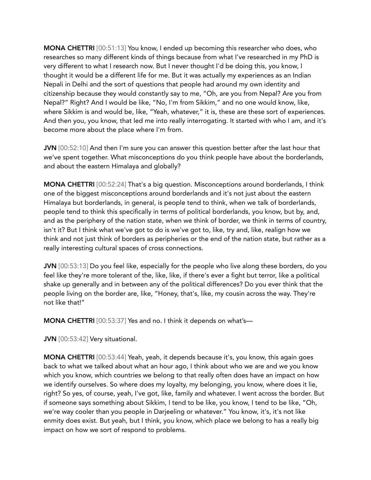MONA CHETTRI [00:51:13] You know, I ended up becoming this researcher who does, who researches so many different kinds of things because from what I've researched in my PhD is very different to what I research now. But I never thought I'd be doing this, you know, I thought it would be a different life for me. But it was actually my experiences as an Indian Nepali in Delhi and the sort of questions that people had around my own identity and citizenship because they would constantly say to me, "Oh, are you from Nepal? Are you from Nepal?" Right? And I would be like, "No, I'm from Sikkim," and no one would know, like, where Sikkim is and would be, like, "Yeah, whatever," it is, these are these sort of experiences. And then you, you know, that led me into really interrogating. It started with who I am, and it's become more about the place where I'm from.

**JVN** [00:52:10] And then I'm sure you can answer this question better after the last hour that we've spent together. What misconceptions do you think people have about the borderlands, and about the eastern Himalaya and globally?

MONA CHETTRI [00:52:24] That's a big question. Misconceptions around borderlands, I think one of the biggest misconceptions around borderlands and it's not just about the eastern Himalaya but borderlands, in general, is people tend to think, when we talk of borderlands, people tend to think this specifically in terms of political borderlands, you know, but by, and, and as the periphery of the nation state, when we think of border, we think in terms of country, isn't it? But I think what we've got to do is we've got to, like, try and, like, realign how we think and not just think of borders as peripheries or the end of the nation state, but rather as a really interesting cultural spaces of cross connections.

JVN [00:53:13] Do you feel like, especially for the people who live along these borders, do you feel like they're more tolerant of the, like, like, if there's ever a fight but terror, like a political shake up generally and in between any of the political differences? Do you ever think that the people living on the border are, like, "Honey, that's, like, my cousin across the way. They're not like that!"

MONA CHETTRI [00:53:37] Yes and no. I think it depends on what's—

JVN [00:53:42] Very situational.

MONA CHETTRI [00:53:44] Yeah, yeah, it depends because it's, you know, this again goes back to what we talked about what an hour ago, I think about who we are and we you know which you know, which countries we belong to that really often does have an impact on how we identify ourselves. So where does my loyalty, my belonging, you know, where does it lie, right? So yes, of course, yeah, I've got, like, family and whatever. I went across the border. But if someone says something about Sikkim, I tend to be like, you know, I tend to be like, "Oh, we're way cooler than you people in Darjeeling or whatever." You know, it's, it's not like enmity does exist. But yeah, but I think, you know, which place we belong to has a really big impact on how we sort of respond to problems.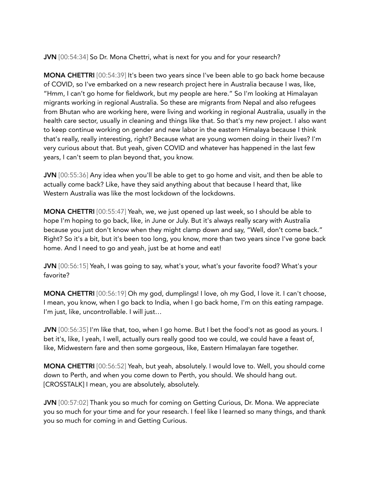JVN [00:54:34] So Dr. Mona Chettri, what is next for you and for your research?

MONA CHETTRI [00:54:39] It's been two years since I've been able to go back home because of COVID, so I've embarked on a new research project here in Australia because I was, like, "Hmm, I can't go home for fieldwork, but my people are here." So I'm looking at Himalayan migrants working in regional Australia. So these are migrants from Nepal and also refugees from Bhutan who are working here, were living and working in regional Australia, usually in the health care sector, usually in cleaning and things like that. So that's my new project. I also want to keep continue working on gender and new labor in the eastern Himalaya because I think that's really, really interesting, right? Because what are young women doing in their lives? I'm very curious about that. But yeah, given COVID and whatever has happened in the last few years, I can't seem to plan beyond that, you know.

JVN [00:55:36] Any idea when you'll be able to get to go home and visit, and then be able to actually come back? Like, have they said anything about that because I heard that, like Western Australia was like the most lockdown of the lockdowns.

MONA CHETTRI [00:55:47] Yeah, we, we just opened up last week, so I should be able to hope I'm hoping to go back, like, in June or July. But it's always really scary with Australia because you just don't know when they might clamp down and say, "Well, don't come back." Right? So it's a bit, but it's been too long, you know, more than two years since I've gone back home. And I need to go and yeah, just be at home and eat!

JVN [00:56:15] Yeah, I was going to say, what's your, what's your favorite food? What's your favorite?

MONA CHETTRI [00:56:19] Oh my god, dumplings! I love, oh my God, I love it. I can't choose, I mean, you know, when I go back to India, when I go back home, I'm on this eating rampage. I'm just, like, uncontrollable. I will just…

JVN [00:56:35] I'm like that, too, when I go home. But I bet the food's not as good as yours. I bet it's, like, I yeah, I well, actually ours really good too we could, we could have a feast of, like, Midwestern fare and then some gorgeous, like, Eastern Himalayan fare together.

MONA CHETTRI [00:56:52] Yeah, but yeah, absolutely. I would love to. Well, you should come down to Perth, and when you come down to Perth, you should. We should hang out. [CROSSTALK] I mean, you are absolutely, absolutely.

JVN [00:57:02] Thank you so much for coming on Getting Curious, Dr. Mona. We appreciate you so much for your time and for your research. I feel like I learned so many things, and thank you so much for coming in and Getting Curious.